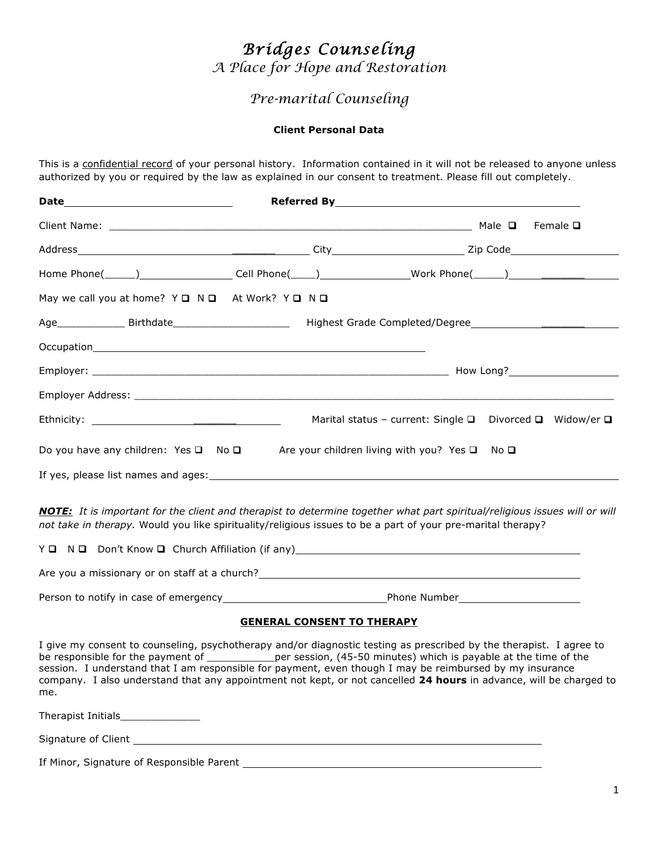# *Bridges Counseling*

*A Place for Hope and Restoration*

## *Pre-marital Counseling*

#### **Client Personal Data**

This is a confidential record of your personal history. Information contained in it will not be released to anyone unless authorized by you or required by the law as explained in our consent to treatment. Please fill out completely.

| Home Phone(______)______________________Cell Phone(_____)_______________________Work Phone(______)__________________ |                                                                                  |  |
|----------------------------------------------------------------------------------------------------------------------|----------------------------------------------------------------------------------|--|
| May we call you at home? Y Q N Q At Work? Y Q N Q                                                                    |                                                                                  |  |
| Age_________________Birthdate___________________________ Highest Grade Completed/Degree_______________________       |                                                                                  |  |
|                                                                                                                      |                                                                                  |  |
|                                                                                                                      |                                                                                  |  |
|                                                                                                                      |                                                                                  |  |
|                                                                                                                      | Marital status - current: Single $\square$ Divorced $\square$ Widow/er $\square$ |  |
| Do you have any children: Yes $\square$ No $\square$ Are your children living with you? Yes $\square$ No $\square$   |                                                                                  |  |
|                                                                                                                      |                                                                                  |  |

*NOTE: It is important for the client and therapist to determine together what part spiritual/religious issues will or will not take in therapy.* Would you like spirituality/religious issues to be a part of your pre-marital therapy?

|                                               | Y <b>Q</b> N <b>Q</b> Don't Know <b>Q</b> Church Affiliation (if any) |                     |
|-----------------------------------------------|-----------------------------------------------------------------------|---------------------|
| Are you a missionary or on staff at a church? |                                                                       |                     |
| Person to notify in case of emergency         |                                                                       | <b>Phone Number</b> |

#### **GENERAL CONSENT TO THERAPY**

I give my consent to counseling, psychotherapy and/or diagnostic testing as prescribed by the therapist. I agree to be responsible for the payment of \_\_\_\_\_\_\_\_\_\_\_\_\_per session, (45-50 minutes) which is payable at the time of the session. I understand that I am responsible for payment, even though I may be reimbursed by my insurance company. I also understand that any appointment not kept, or not cancelled **24 hours** in advance, will be charged to me.

Therapist Initials\_\_\_\_\_\_\_\_\_\_\_\_\_

Signature of Client

If Minor, Signature of Responsible Parent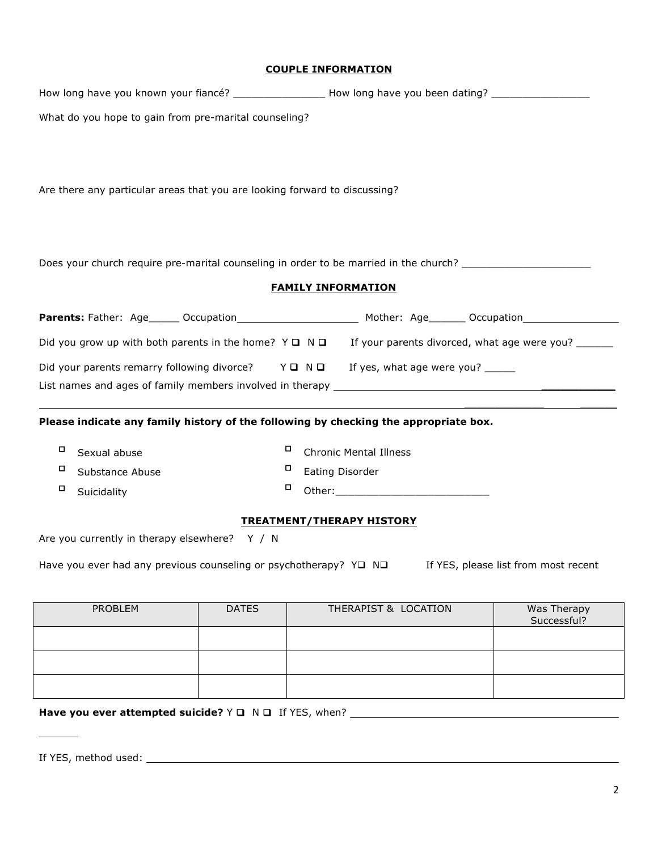#### **COUPLE INFORMATION**

|                                                                                                           |              | How long have you known your fiancé? ________________________How long have you been dating? __________________                                                                                                                |                            |  |  |
|-----------------------------------------------------------------------------------------------------------|--------------|-------------------------------------------------------------------------------------------------------------------------------------------------------------------------------------------------------------------------------|----------------------------|--|--|
| What do you hope to gain from pre-marital counseling?                                                     |              |                                                                                                                                                                                                                               |                            |  |  |
|                                                                                                           |              |                                                                                                                                                                                                                               |                            |  |  |
|                                                                                                           |              |                                                                                                                                                                                                                               |                            |  |  |
| Are there any particular areas that you are looking forward to discussing?                                |              |                                                                                                                                                                                                                               |                            |  |  |
|                                                                                                           |              |                                                                                                                                                                                                                               |                            |  |  |
|                                                                                                           |              | Does your church require pre-marital counseling in order to be married in the church? _______________________                                                                                                                 |                            |  |  |
|                                                                                                           |              | <b>FAMILY INFORMATION</b>                                                                                                                                                                                                     |                            |  |  |
|                                                                                                           |              |                                                                                                                                                                                                                               |                            |  |  |
|                                                                                                           |              | Did you grow up with both parents in the home? $Y \Box \ N \Box$ If your parents divorced, what age were you?                                                                                                                 |                            |  |  |
|                                                                                                           |              | Did your parents remarry following divorce? $Y \square \square \square$ If yes, what age were you?                                                                                                                            |                            |  |  |
|                                                                                                           |              | List names and ages of family members involved in therapy and the state of the control of the control of the control of the control of the control of the control of the control of the control of the control of the control |                            |  |  |
|                                                                                                           |              | Please indicate any family history of the following by checking the appropriate box.                                                                                                                                          |                            |  |  |
| о<br>Sexual abuse                                                                                         |              | о<br><b>Chronic Mental Illness</b>                                                                                                                                                                                            |                            |  |  |
| o<br>о<br>Substance Abuse                                                                                 |              | Eating Disorder                                                                                                                                                                                                               |                            |  |  |
| □<br>Suicidality                                                                                          |              | о                                                                                                                                                                                                                             |                            |  |  |
| <b>TREATMENT/THERAPY HISTORY</b>                                                                          |              |                                                                                                                                                                                                                               |                            |  |  |
| Are you currently in therapy elsewhere? Y / N                                                             |              |                                                                                                                                                                                                                               |                            |  |  |
| Have you ever had any previous counseling or psychotherapy? YQ NQ<br>If YES, please list from most recent |              |                                                                                                                                                                                                                               |                            |  |  |
|                                                                                                           |              |                                                                                                                                                                                                                               |                            |  |  |
| <b>PROBLEM</b>                                                                                            | <b>DATES</b> | THERAPIST & LOCATION                                                                                                                                                                                                          | Was Therapy<br>Successful? |  |  |
|                                                                                                           |              |                                                                                                                                                                                                                               |                            |  |  |

Have you ever attempted suicide?  $Y \square \neg N \square$  If YES, when?